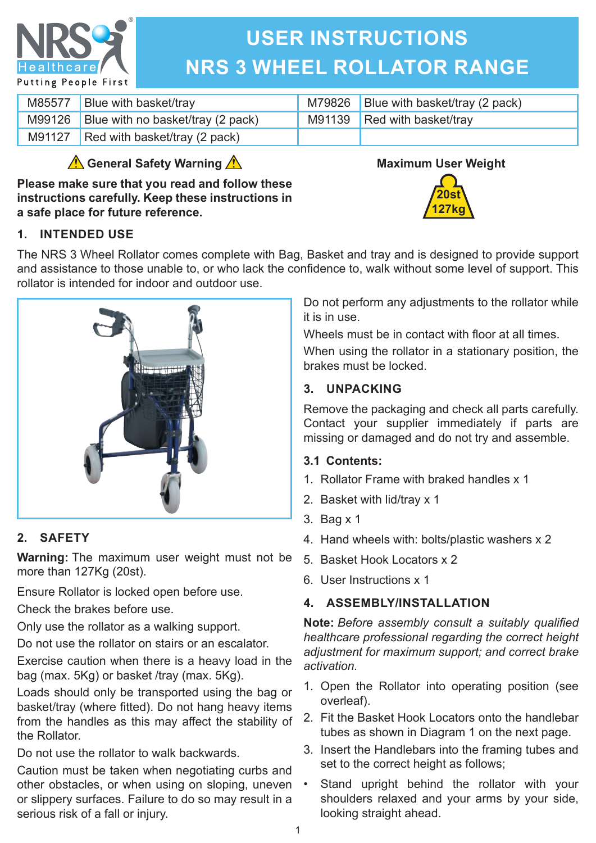

# **USER INSTRUCTIONS NRS 3 WHEEL ROLLATOR RANGE**

| M85577 | Blue with basket/tray                    | M79826 Blue with basket/tray (2 pack) |
|--------|------------------------------------------|---------------------------------------|
|        | M99126 Blue with no basket/tray (2 pack) | M91139 Red with basket/tray           |
|        | M91127 Red with basket/tray (2 pack)     |                                       |

# **General Safety Warning**

**Please make sure that you read and follow these instructions carefully. Keep these instructions in a safe place for future reference.**



**20st 127kg**

## **1. INTENDED USE**

The NRS 3 Wheel Rollator comes complete with Bag, Basket and tray and is designed to provide support and assistance to those unable to, or who lack the confidence to, walk without some level of support. This rollator is intended for indoor and outdoor use.



# **2. SAFETY**

**Warning:** The maximum user weight must not be more than 127Kg (20st).

Ensure Rollator is locked open before use.

Check the brakes before use.

Only use the rollator as a walking support.

Do not use the rollator on stairs or an escalator.

Exercise caution when there is a heavy load in the bag (max. 5Kg) or basket /tray (max. 5Kg).

Loads should only be transported using the bag or basket/tray (where fitted). Do not hang heavy items from the handles as this may affect the stability of the Rollator.

Do not use the rollator to walk backwards.

Caution must be taken when negotiating curbs and other obstacles, or when using on sloping, uneven or slippery surfaces. Failure to do so may result in a serious risk of a fall or injury.

Do not perform any adjustments to the rollator while it is in use.

Wheels must be in contact with floor at all times.

When using the rollator in a stationary position, the brakes must be locked.

## **3. UNPACKING**

Remove the packaging and check all parts carefully. Contact your supplier immediately if parts are missing or damaged and do not try and assemble.

#### **3.1 Contents:**

- 1. Rollator Frame with braked handles x 1
- 2. Basket with lid/tray x 1
- 3. Bag x 1
- 4. Hand wheels with: bolts/plastic washers x 2
- 5. Basket Hook Locators x 2
- 6. User Instructions x 1

# **4. ASSEMBLY/INSTALLATION**

**Note:** *Before assembly consult a suitably qualified healthcare professional regarding the correct height adjustment for maximum support; and correct brake activation.*

- 1. Open the Rollator into operating position (see overleaf).
- 2. Fit the Basket Hook Locators onto the handlebar tubes as shown in Diagram 1 on the next page.
- 3. Insert the Handlebars into the framing tubes and set to the correct height as follows;
- Stand upright behind the rollator with your shoulders relaxed and your arms by your side, looking straight ahead.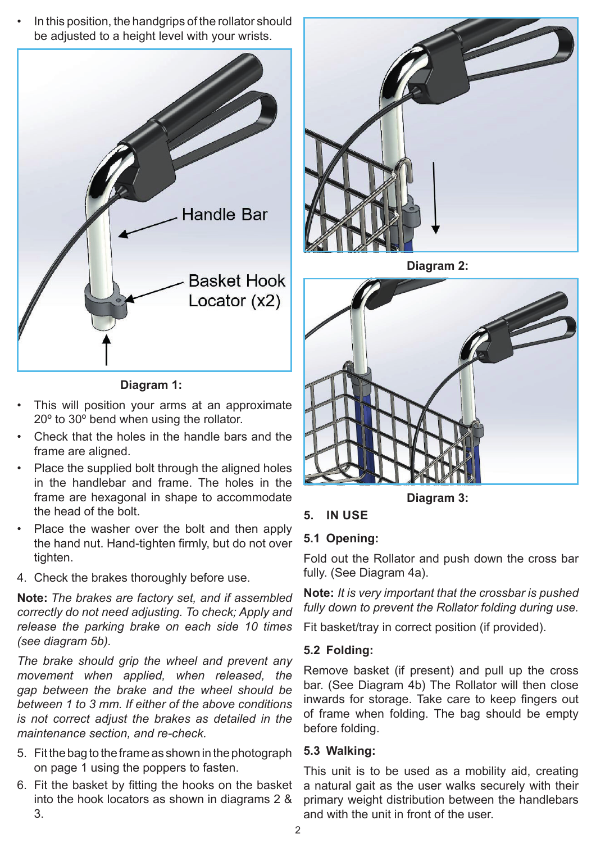In this position, the handgrips of the rollator should be adjusted to a height level with your wrists.



**Diagram 1:** 

- This will position your arms at an approximate 20º to 30º bend when using the rollator.
- Check that the holes in the handle bars and the frame are aligned.
- Place the supplied bolt through the aligned holes in the handlebar and frame. The holes in the frame are hexagonal in shape to accommodate the head of the bolt.
- Place the washer over the bolt and then apply the hand nut. Hand-tighten firmly, but do not over tighten.
- 4. Check the brakes thoroughly before use.

**Note:** *The brakes are factory set, and if assembled correctly do not need adjusting. To check; Apply and release the parking brake on each side 10 times (see diagram 5b).*

*The brake should grip the wheel and prevent any movement when applied, when released, the gap between the brake and the wheel should be between 1 to 3 mm. If either of the above conditions is not correct adjust the brakes as detailed in the maintenance section, and re-check.*

- 5. Fit the bag to the frame as shown in the photograph on page 1 using the poppers to fasten.
- 6. Fit the basket by fitting the hooks on the basket into the hook locators as shown in diagrams 2 & 3.



**Diagram 2:** 



**Diagram 3:** 

# **5. IN USE**

# **5.1 Opening:**

Fold out the Rollator and push down the cross bar fully. (See Diagram 4a).

**Note:** *It is very important that the crossbar is pushed fully down to prevent the Rollator folding during use.*

Fit basket/tray in correct position (if provided).

#### **5.2 Folding:**

Remove basket (if present) and pull up the cross bar. (See Diagram 4b) The Rollator will then close inwards for storage. Take care to keep fingers out of frame when folding. The bag should be empty before folding.

#### **5.3 Walking:**

This unit is to be used as a mobility aid, creating a natural gait as the user walks securely with their primary weight distribution between the handlebars and with the unit in front of the user.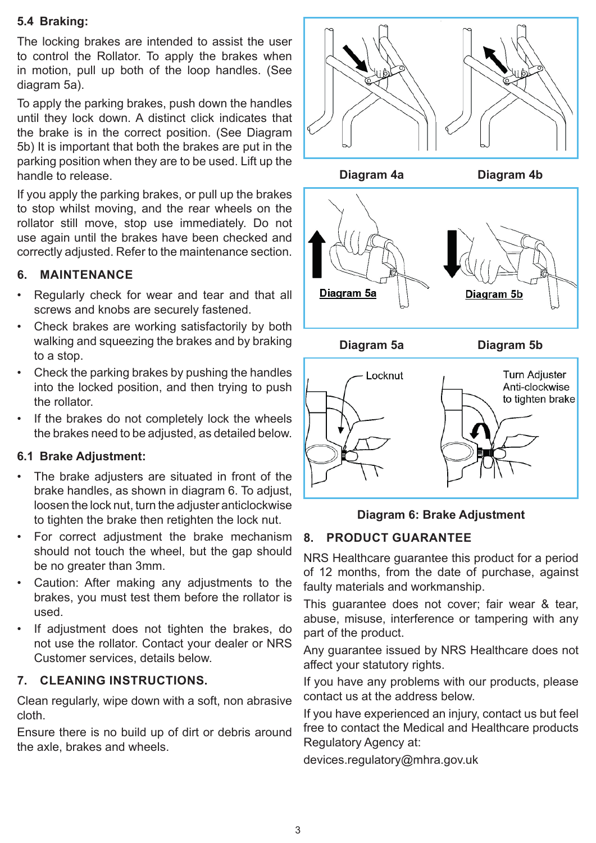#### **5.4 Braking:**

The locking brakes are intended to assist the user to control the Rollator. To apply the brakes when in motion, pull up both of the loop handles. (See diagram 5a).

To apply the parking brakes, push down the handles until they lock down. A distinct click indicates that the brake is in the correct position. (See Diagram 5b) It is important that both the brakes are put in the parking position when they are to be used. Lift up the handle to release.

If you apply the parking brakes, or pull up the brakes to stop whilst moving, and the rear wheels on the rollator still move, stop use immediately. Do not use again until the brakes have been checked and correctly adjusted. Refer to the maintenance section.

#### **6. MAINTENANCE**

- Regularly check for wear and tear and that all screws and knobs are securely fastened.
- Check brakes are working satisfactorily by both walking and squeezing the brakes and by braking to a stop.
- Check the parking brakes by pushing the handles into the locked position, and then trying to push the rollator.
- If the brakes do not completely lock the wheels the brakes need to be adjusted, as detailed below.

#### **6.1 Brake Adjustment:**

- The brake adjusters are situated in front of the brake handles, as shown in diagram 6. To adjust, loosen the lock nut, turn the adjuster anticlockwise to tighten the brake then retighten the lock nut.
- For correct adjustment the brake mechanism should not touch the wheel, but the gap should be no greater than 3mm.
- Caution: After making any adjustments to the brakes, you must test them before the rollator is used.
- If adjustment does not tighten the brakes, do not use the rollator. Contact your dealer or NRS Customer services, details below.

#### **7. CLEANING INSTRUCTIONS.**

Clean regularly, wipe down with a soft, non abrasive cloth.

Ensure there is no build up of dirt or debris around the axle, brakes and wheels.



#### **Diagram 6: Brake Adjustment**

#### **8. PRODUCT GUARANTEE**

NRS Healthcare guarantee this product for a period of 12 months, from the date of purchase, against faulty materials and workmanship.

This guarantee does not cover; fair wear & tear, abuse, misuse, interference or tampering with any part of the product.

Any guarantee issued by NRS Healthcare does not affect your statutory rights.

If you have any problems with our products, please contact us at the address below.

If you have experienced an injury, contact us but feel free to contact the Medical and Healthcare products Regulatory Agency at:

devices.regulatory@mhra.gov.uk